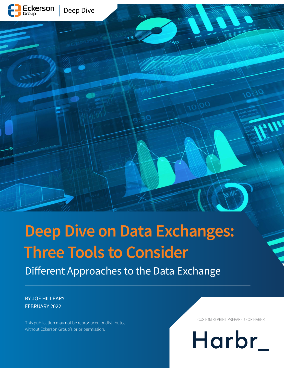

# **Deep Dive on Data Exchanges: Three Tools to Consider**

Different Approaches to the Data Exchange

#### BY JOE HILLEARY FEBRUARY 2022

This publication may not be reproduced or distributed without Eckerson Group's prior permission.

CUSTOM REPRINT PREPARED FOR HARBR

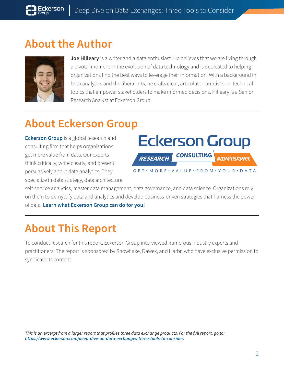# **About the Author**



**Joe Hilleary** is a writer and a data enthusiast. He believes that we are living through a pivotal moment in the evolution of data technology and is dedicated to helping organizations find the best ways to leverage their information. With a background in both analytics and the liberal arts, he crafts clear, articulate narratives on technical topics that empower stakeholders to make informed decisions. Hilleary is a Senior Research Analyst at Eckerson Group.

# **About Eckerson Group**

**[Eckerson Group](http://www.eckerson.com/)** is a global research and consulting firm that helps organizations get more value from data. Our experts think critically, write clearly, and present persuasively about data analytics. They specialize in data strategy, data architecture,



self-service analytics, master data management, data governance, and data science. Organizations rely on them to demystify data and analytics and develop business-driven strategies that harness the power of data. **[Learn what Eckerson Group can do for you!](https://calendly.com/eckerson-consulting/request)**

# **About This Report**

To conduct research for this report, Eckerson Group interviewed numerous industry experts and practitioners. The report is sponsored by Snowflake, Dawex, and Harbr, who have exclusive permission to syndicate its content.

*This is an excerpt from a larger report that profiles three data exchange products. For the full report, go to: [https://www.eckerson.com/deep-dive-on-data-exchanges-three-tools-to-consider.](http://)*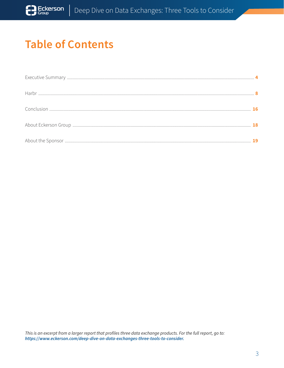# **Table of Contents**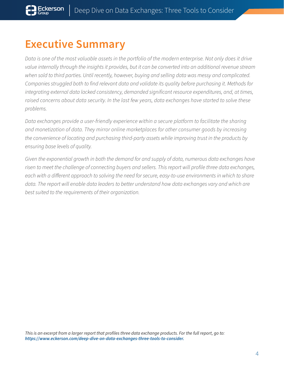# <span id="page-3-0"></span>**Executive Summary**

*Data is one of the most valuable assets in the portfolio of the modern enterprise. Not only does it drive value internally through the insights it provides, but it can be converted into an additional revenue stream when sold to third parties. Until recently, however, buying and selling data was messy and complicated. Companies struggled both to find relevant data and validate its quality before purchasing it. Methods for integrating external data lacked consistency, demanded significant resource expenditures, and, at times, raised concerns about data security. In the last few years, data exchanges have started to solve these problems.*

*Data exchanges provide a user-friendly experience within a secure platform to facilitate the sharing and monetization of data. They mirror online marketplaces for other consumer goods by increasing the convenience of locating and purchasing third-party assets while improving trust in the products by ensuring base levels of quality.*

*Given the exponential growth in both the demand for and supply of data, numerous data exchanges have risen to meet the challenge of connecting buyers and sellers. This report will profile three data exchanges, each with a different approach to solving the need for secure, easy-to-use environments in which to share data. The report will enable data leaders to better understand how data exchanges vary and which are best suited to the requirements of their organization.*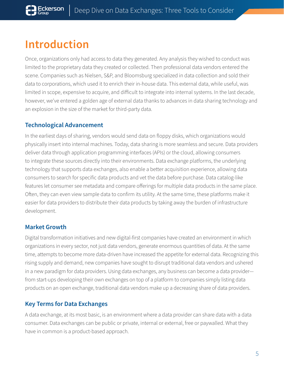# **Introduction**

Once, organizations only had access to data they generated. Any analysis they wished to conduct was limited to the proprietary data they created or collected. Then professional data vendors entered the scene. Companies such as Nielsen, S&P, and Bloomsburg specialized in data collection and sold their data to corporations, which used it to enrich their in-house data. This external data, while useful, was limited in scope, expensive to acquire, and difficult to integrate into internal systems. In the last decade, however, we've entered a golden age of external data thanks to advances in data sharing technology and an explosion in the size of the market for third-party data.

### **Technological Advancement**

In the earliest days of sharing, vendors would send data on floppy disks, which organizations would physically insert into internal machines. Today, data sharing is more seamless and secure. Data providers deliver data through application programming interfaces (APIs) or the cloud, allowing consumers to integrate these sources directly into their environments. Data exchange platforms, the underlying technology that supports data exchanges, also enable a better acquisition experience, allowing data consumers to search for specific data products and vet the data before purchase. Data catalog-like features let consumer see metadata and compare offerings for multiple data products in the same place. Often, they can even view sample data to confirm its utility. At the same time, these platforms make it easier for data providers to distribute their data products by taking away the burden of infrastructure development.

### **Market Growth**

Digital transformation initiatives and new digital-first companies have created an environment in which organizations in every sector, not just data vendors, generate enormous quantities of data. At the same time, attempts to become more data-driven have increased the appetite for external data. Recognizing this rising supply and demand, new companies have sought to disrupt traditional data vendors and ushered in a new paradigm for data providers. Using data exchanges, any business can become a data provider from start-ups developing their own exchanges on top of a platform to companies simply listing data products on an open exchange, traditional data vendors make up a decreasing share of data providers.

# **Key Terms for Data Exchanges**

A data exchange, at its most basic, is an environment where a data provider can share data with a data consumer. Data exchanges can be public or private, internal or external, free or paywalled. What they have in common is a product-based approach.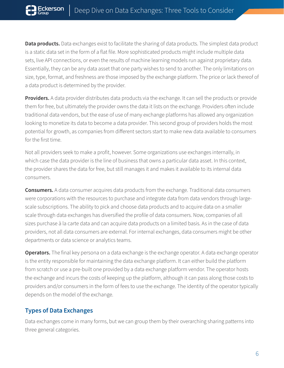**Data products.** Data exchanges exist to facilitate the sharing of data products. The simplest data product is a static data set in the form of a flat file. More sophisticated products might include multiple data sets, live API connections, or even the results of machine learning models run against proprietary data. Essentially, they can be any data asset that one party wishes to send to another. The only limitations on size, type, format, and freshness are those imposed by the exchange platform. The price or lack thereof of a data product is determined by the provider.

**Providers.** A data provider distributes data products via the exchange. It can sell the products or provide them for free, but ultimately the provider owns the data it lists on the exchange. Providers often include traditional data vendors, but the ease of use of many exchange platforms has allowed any organization looking to monetize its data to become a data provider. This second group of providers holds the most potential for growth, as companies from different sectors start to make new data available to consumers for the first time.

Not all providers seek to make a profit, however. Some organizations use exchanges internally, in which case the data provider is the line of business that owns a particular data asset. In this context, the provider shares the data for free, but still manages it and makes it available to its internal data consumers.

**Consumers.** A data consumer acquires data products from the exchange. Traditional data consumers were corporations with the resources to purchase and integrate data from data vendors through largescale subscriptions. The ability to pick and choose data products and to acquire data on a smaller scale through data exchanges has diversified the profile of data consumers. Now, companies of all sizes purchase à la carte data and can acquire data products on a limited basis. As in the case of data providers, not all data consumers are external. For internal exchanges, data consumers might be other departments or data science or analytics teams.

**Operators.** The final key persona on a data exchange is the exchange operator. A data exchange operator is the entity responsible for maintaining the data exchange platform. It can either build the platform from scratch or use a pre-built one provided by a data exchange platform vendor. The operator hosts the exchange and incurs the costs of keeping up the platform, although it can pass along those costs to providers and/or consumers in the form of fees to use the exchange. The identity of the operator typically depends on the model of the exchange.

### **Types of Data Exchanges**

Data exchanges come in many forms, but we can group them by their overarching sharing patterns into three general categories.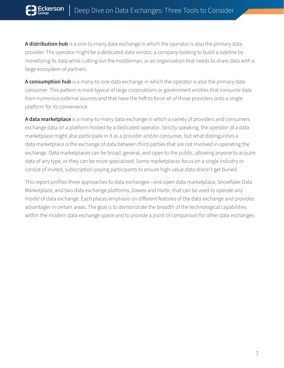A distribution hub is a one-to-many data exchange in which the operator is also the primary data provider. The operator might be a dedicated data vendor, a company looking to build a sideline by monetizing its data while cutting out the middleman, or an organization that needs to share data with a large ecosystem of partners.

**A consumption hub** is a many-to-one data exchange in which the operator is also the primary data consumer. This pattern is most typical of large corporations or government entities that consume data from numerous external sources and that have the heft to force all of those providers onto a single platform for its convenience.

**A data marketplace** is a many-to-many data exchange in which a variety of providers and consumers exchange data on a platform hosted by a dedicated operator. Strictly speaking, the operator of a data marketplace might also participate in it as a provider and/or consumer, but what distinguishes a data marketplace is the exchange of data between third-parties that are not involved in operating the exchange. Data marketplaces can be broad, general, and open to the public, allowing anyone to acquire data of any type, or they can be more specialized. Some marketplaces focus on a single industry or consist of invited, subscription-paying participants to ensure high-value data doesn't get buried.

This report profiles three approaches to data exchanges—one open data marketplace, Snowflake Data Marketplace, and two data exchange platforms, Dawex and Harbr, that can be used to operate any model of data exchange. Each places emphasis on different features of the data exchange and provides advantages in certain areas. The goal is to demonstrate the breadth of the technological capabilities within the modern data exchange space and to provide a point of comparison for other data exchanges.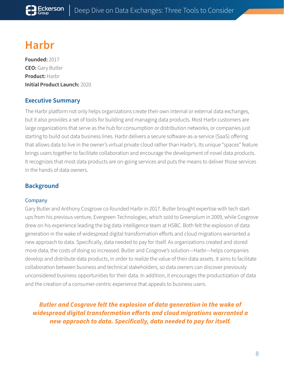# <span id="page-7-0"></span>**Harbr**

**Founded:** 2017 **CEO:** Gary Butler **Product:** Harbr **Initial Product Launch:** 2020

### **Executive Summary**

The Harbr platform not only helps organizations create their own internal or external data exchanges, but it also provides a set of tools for building and managing data products. Most Harbr customers are large organizations that serve as the hub for consumption or distribution networks, or companies just starting to build out data business lines. Harbr delivers a secure software-as-a-service (SaaS) offering that allows data to live in the owner's virtual private cloud rather than Harbr's. Its unique "spaces" feature brings users together to facilitate collaboration and encourage the development of novel data products. It recognizes that most data products are on-going services and puts the means to deliver those services in the hands of data owners.

### **Background**

#### Company

Gary Butler and Anthony Cosgrove co-founded Harbr in 2017. Butler brought expertise with tech startups from his previous venture, Evergreen Technologies, which sold to Greenplum in 2009, while Cosgrove drew on his experience leading the big data intelligence team at HSBC. Both felt the explosion of data generation in the wake of widespread digital transformation efforts and cloud migrations warranted a new approach to data. Specifically, data needed to pay for itself. As organizations created and stored more data, the costs of doing so increased. Butler and Cosgrove's solution—Harbr—helps companies develop and distribute data products, in order to realize the value of their data assets. It aims to facilitate collaboration between business and technical stakeholders, so data owners can discover previously unconsidered business opportunities for their data. In addition, it encourages the productization of data and the creation of a consumer-centric experience that appeals to business users.

*Butler and Cosgrove felt the explosion of data generation in the wake of widespread digital transformation efforts and cloud migrations warranted a new approach to data. Specifically, data needed to pay for itself.*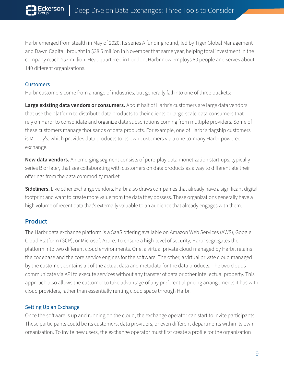Harbr emerged from stealth in May of 2020. Its series A funding round, led by Tiger Global Management and Dawn Capital, brought in \$38.5 million in November that same year, helping total investment in the company reach \$52 million. Headquartered in London, Harbr now employs 80 people and serves about 140 different organizations.

#### **Customers**

Harbr customers come from a range of industries, but generally fall into one of three buckets:

**Large existing data vendors or consumers.** About half of Harbr's customers are large data vendors that use the platform to distribute data products to their clients or large-scale data consumers that rely on Harbr to consolidate and organize data subscriptions coming from multiple providers. Some of these customers manage thousands of data products. For example, one of Harbr's flagship customers is Moody's, which provides data products to its own customers via a one-to-many Harbr-powered exchange.

**New data vendors.** An emerging segment consists of pure-play data monetization start-ups, typically series B or later, that see collaborating with customers on data products as a way to differentiate their offerings from the data commodity market.

**Sideliners.** Like other exchange vendors, Harbr also draws companies that already have a significant digital footprint and want to create more value from the data they possess. These organizations generally have a high volume of recent data that's externally valuable to an audience that already engages with them.

### **Product**

The Harbr data exchange platform is a SaaS offering available on Amazon Web Services (AWS), Google Cloud Platform (GCP), or Microsoft Azure. To ensure a high-level of security, Harbr segregates the platform into two different cloud environments. One, a virtual private cloud managed by Harbr, retains the codebase and the core service engines for the software. The other, a virtual private cloud managed by the customer, contains all of the actual data and metadata for the data products. The two clouds communicate via API to execute services without any transfer of data or other intellectual property. This approach also allows the customer to take advantage of any preferential pricing arrangements it has with cloud providers, rather than essentially renting cloud space through Harbr.

#### Setting Up an Exchange

Once the software is up and running on the cloud, the exchange operator can start to invite participants. These participants could be its customers, data providers, or even different departments within its own organization. To invite new users, the exchange operator must first create a profile for the organization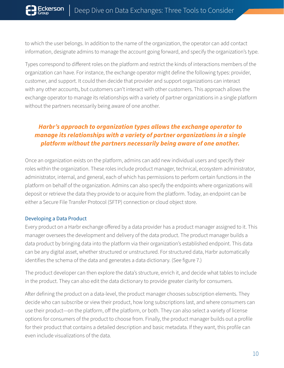to which the user belongs. In addition to the name of the organization, the operator can add contact information, designate admins to manage the account going forward, and specify the organization's type.

Types correspond to different roles on the platform and restrict the kinds of interactions members of the organization can have. For instance, the exchange operator might define the following types: provider, customer, and support. It could then decide that provider and support organizations can interact with any other accounts, but customers can't interact with other customers. This approach allows the exchange operator to manage its relationships with a variety of partner organizations in a single platform without the partners necessarily being aware of one another.

# *Harbr's approach to organization types allows the exchange operator to manage its relationships with a variety of partner organizations in a single platform without the partners necessarily being aware of one another.*

Once an organization exists on the platform, admins can add new individual users and specify their roles within the organization. These roles include product manager, technical, ecosystem administrator, administrator, internal, and general, each of which has permissions to perform certain functions in the platform on behalf of the organization. Admins can also specify the endpoints where organizations will deposit or retrieve the data they provide to or acquire from the platform. Today, an endpoint can be either a Secure File Transfer Protocol (SFTP) connection or cloud object store.

#### Developing a Data Product

Every product on a Harbr exchange offered by a data provider has a product manager assigned to it. This manager oversees the development and delivery of the data product. The product manager builds a data product by bringing data into the platform via their organization's established endpoint. This data can be any digital asset, whether structured or unstructured. For structured data, Harbr automatically identifies the schema of the data and generates a data dictionary. (See figure 7.)

The product developer can then explore the data's structure, enrich it, and decide what tables to include in the product. They can also edit the data dictionary to provide greater clarity for consumers.

After defining the product on a data-level, the product manager chooses subscription elements. They decide who can subscribe or view their product, how long subscriptions last, and where consumers can use their product—on the platform, off the platform, or both. They can also select a variety of license options for consumers of the product to choose from. Finally, the product manager builds out a profile for their product that contains a detailed description and basic metadata. If they want, this profile can even include visualizations of the data.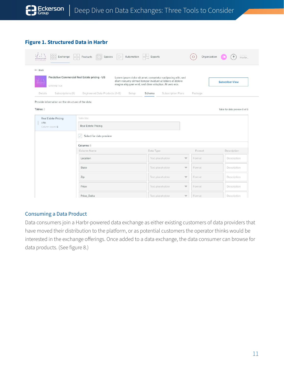#### **Figure 1. Structured Data in Harbr**

| $\mathcal{G} \subset \mathcal{S}$<br><b>SYNTHETICR</b><br><b>DAYA CREATIV</b><br>← Back | <b>DOD</b> Exchange <b>DO</b> Products <b>2</b> Spaces         | $\left \triangleright\right $ Automation $\left \bigcup_{n=1}^{\infty}$ Exports                                                                                                |                               | Organization<br>$\overline{\mathbf{?}}$<br>Harbr. |
|-----------------------------------------------------------------------------------------|----------------------------------------------------------------|--------------------------------------------------------------------------------------------------------------------------------------------------------------------------------|-------------------------------|---------------------------------------------------|
| WATHETICH<br>SYNTHETICR                                                                 | Predictive Commercial Real Estate pricing - US                 | Lorem ipsum dolor sit amet, consetetur sadipscing elitr, sed<br>diam nonumy eirmod tempor invidunt ut labore et dolore<br>magna aliquyam erat, sed diam voluptua. At vero eos. |                               | <b>Subscriber View</b>                            |
| Details<br>Subscriptions (X)                                                            | Engineered Data Products (A+B)                                 | Setup<br>Schema                                                                                                                                                                | Subscription Plans<br>Package |                                                   |
| Tables <sub>2</sub><br><b>Real Estate Pricing</b><br><b>USA</b>                         | Table title:                                                   |                                                                                                                                                                                |                               | Table for data preview 0 of 5                     |
| Column count: 6                                                                         | Real Estate Pricing<br>Select for data preview<br>$\checkmark$ |                                                                                                                                                                                |                               |                                                   |
|                                                                                         | Columns 6                                                      |                                                                                                                                                                                |                               |                                                   |
|                                                                                         | Column Name                                                    | Data Type                                                                                                                                                                      | Format                        | Description                                       |
|                                                                                         | Location                                                       | Text placeholder                                                                                                                                                               | $\mathcal{A}^{\mu}$<br>Format | Description                                       |
|                                                                                         | <b>State</b>                                                   | Text placeholder                                                                                                                                                               | $\mathcal{A}^{\mu}$<br>Format | Description                                       |
|                                                                                         | Zip                                                            | Text placeholder                                                                                                                                                               | $\mathcal{M}$<br>Format       | Description                                       |
|                                                                                         | Price                                                          | Text placeholder                                                                                                                                                               | $\mathcal{A}^{\mu}$<br>Format | Description                                       |
|                                                                                         | Price Delta                                                    | Text placeholder                                                                                                                                                               | <b>NP</b><br>Format           | Description                                       |

#### Consuming a Data Product

Data consumers join a Harbr-powered data exchange as either existing customers of data providers that have moved their distribution to the platform, or as potential customers the operator thinks would be interested in the exchange offerings. Once added to a data exchange, the data consumer can browse for data products. (See figure 8.)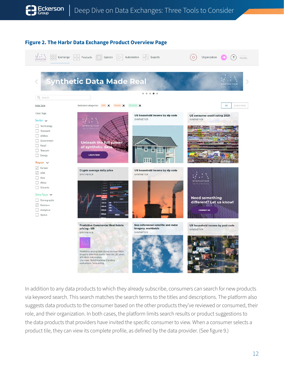





In addition to any data products to which they already subscribe, consumers can search for new products via keyword search. This search matches the search terms to the titles and descriptions. The platform also suggests data products to the consumer based on the other products they've reviewed or consumed, their role, and their organization. In both cases, the platform limits search results or product suggestions to the data products that providers have invited the specific consumer to view. When a consumer selects a product tile, they can view its complete profile, as defined by the data provider. (See figure 9.)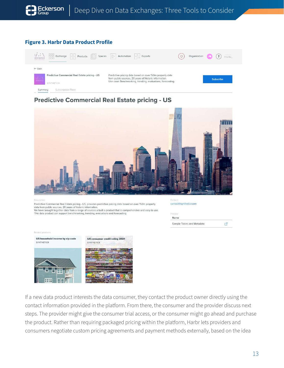#### **Figure 3. Harbr Data Product Profile**

| $\mathcal{L}$<br>888<br>ana.<br>Ma<br><b>DOD</b> Exchange<br>Products<br>Spaces<br><b>ODO</b><br><b>SYNTHETICS</b><br><b>DAYA CREATER</b> | $\begin{array}{ c c c }\n\hline\n-\end{array}$ Exports<br>Automation                                                                                                              | Harbr<br>Organization<br>$\overline{\mathbf{?}}$ |
|-------------------------------------------------------------------------------------------------------------------------------------------|-----------------------------------------------------------------------------------------------------------------------------------------------------------------------------------|--------------------------------------------------|
| $\leftarrow$ Back                                                                                                                         |                                                                                                                                                                                   |                                                  |
| Predictive Commercial Real Estate pricing - US<br>$\frac{1}{2}$<br><b>SYNTHETICR</b>                                                      | Predictive pricing data based on over 150m property data<br>from public sources, 20 years of historic information.<br>Use case: Benchmarking, trending, evaluations, forecasting. | <b>Subscribe</b>                                 |
| <b>Subscription Plans</b><br>Summary                                                                                                      |                                                                                                                                                                                   |                                                  |

### **Predictive Commercial Real Estate pricing - US**



Predictive Commercial Real Estate pricing - US, provides predictive pricing data based on over 150m property data from public sources, 20 years of historic information.

We have brought together data from a range of sources a built a product that is comprehensive and easy to use. This data product can support benchmarking, trending, evaluations and forecasting.



contact@syntheticr.com

Preview Name

Sample Tables and Metadata

 $\mathbb{Z}$ 

If a new data product interests the data consumer, they contact the product owner directly using the contact information provided in the platform. From there, the consumer and the provider discuss next steps. The provider might give the consumer trial access, or the consumer might go ahead and purchase the product. Rather than requiring packaged pricing within the platform, Harbr lets providers and consumers negotiate custom pricing agreements and payment methods externally, based on the idea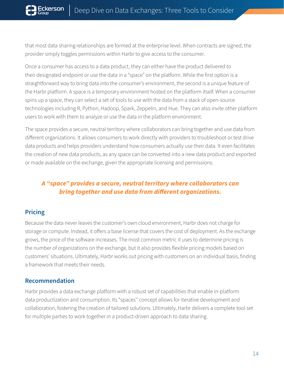that most data sharing relationships are formed at the enterprise level. When contracts are signed, the provider simply toggles permissions within Harbr to give access to the consumer.

Once a consumer has access to a data product, they can either have the product delivered to their designated endpoint or use the data in a "space" on the platform. While the first option is a straightforward way to bring data into the consumer's environment, the second is a unique feature of the Harbr platform. A space is a temporary environment hosted on the platform itself. When a consumer spins up a space, they can select a set of tools to use with the data from a stack of open-source technologies including R, Python, Hadoop, Spark, Zeppelin, and Hue. They can also invite other platform users to work with them to analyze or use the data in the platform environment.

The space provides a secure, neutral territory where collaborators can bring together and use data from different organizations. It allows consumers to work directly with providers to troubleshoot or test drive data products and helps providers understand how consumers actually use their data. It even facilitates the creation of new data products, as any space can be converted into a new data product and exported or made available on the exchange, given the appropriate licensing and permissions.

# *A "space" provides a secure, neutral territory where collaborators can bring together and use data from different organizations.*

### **Pricing**

Because the data never leaves the customer's own cloud environment, Harbr does not charge for storage or compute. Instead, it offers a base license that covers the cost of deployment. As the exchange grows, the price of the software increases. The most common metric it uses to determine pricing is the number of organizations on the exchange, but it also provides flexible pricing models based on customers' situations. Ultimately, Harbr works out pricing with customers on an individual basis, finding a framework that meets their needs.

#### **Recommendation**

Harbr provides a data exchange platform with a robust set of capabilities that enable in-platform data productization and consumption. Its "spaces'' concept allows for iterative development and collaboration, fostering the creation of tailored solutions. Ultimately, Harbr delivers a complete tool set for multiple parties to work together in a product-driven approach to data sharing.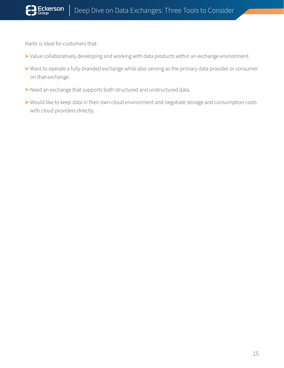Harbr is ideal for customers that:

- **>** Value collaboratively developing and working with data products within an exchange environment.
- **>** Want to operate a fully-branded exchange while also serving as the primary data provider or consumer on that exchange.
- **>** Need an exchange that supports both structured and unstructured data.
- **>** Would like to keep data in their own cloud environment and negotiate storage and consumption costs with cloud providers directly.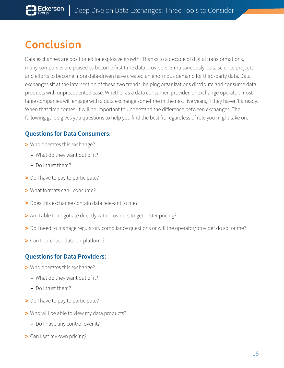# <span id="page-15-0"></span>**Conclusion**

Data exchanges are positioned for explosive growth. Thanks to a decade of digital transformations, many companies are poised to become first-time data providers. Simultaneously, data science projects and efforts to become more data-driven have created an enormous demand for third-party data. Data exchanges sit at the intersection of these two trends, helping organizations distribute and consume data products with unprecedented ease. Whether as a data consumer, provider, or exchange operator, most large companies will engage with a data exchange sometime in the next five years, if they haven't already. When that time comes, it will be important to understand the difference between exchanges. The following guide gives you questions to help you find the best fit, regardless of role you might take on.

### **Questions for Data Consumers:**

- **>** Who operates this exchange?
	- **–** What do they want out of it?
	- **–** Do I trust them?
- **>** Do I have to pay to participate?
- **>** What formats can I consume?
- **>** Does this exchange contain data relevant to me?
- **>** Am I able to negotiate directly with providers to get better pricing?
- **>** Do I need to manage regulatory compliance questions or will the operator/provider do so for me?
- **>** Can I purchase data on-platform?

### **Questions for Data Providers:**

- **>** Who operates this exchange?
	- **–** What do they want out of it?
	- **–** Do I trust them?
- **>** Do I have to pay to participate?
- **>** Who will be able to view my data products?
	- **–** Do I have any control over it?
- **>** Can I set my own pricing?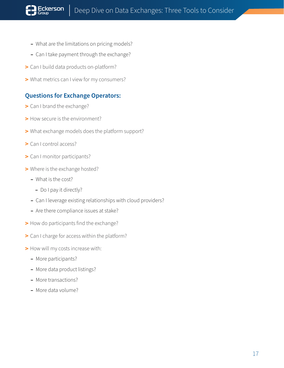- **–** What are the limitations on pricing models?
- **–** Can I take payment through the exchange?
- **>** Can I build data products on-platform?
- **>** What metrics can I view for my consumers?

#### **Questions for Exchange Operators:**

- **>** Can I brand the exchange?
- **>** How secure is the environment?
- **>** What exchange models does the platform support?
- **>** Can I control access?
- **>** Can I monitor participants?
- **>** Where is the exchange hosted?
	- **–** What is the cost?
		- **–** Do I pay it directly?
	- **–** Can I leverage existing relationships with cloud providers?
	- **–** Are there compliance issues at stake?
- **>** How do participants find the exchange?
- **>** Can I charge for access within the platform?
- **>** How will my costs increase with:
	- **–** More participants?
	- **–** More data product listings?
	- **–** More transactions?
	- **–** More data volume?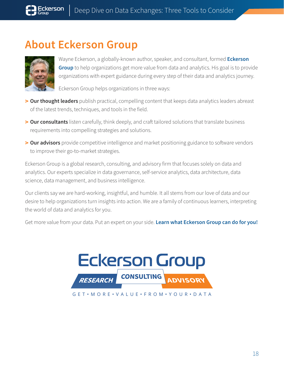# <span id="page-17-0"></span>**About Eckerson Group**



Wayne Eckerson, a globally-known author, speaker, and consultant, formed **[Eckerson](http://www.eckerson.com/)  [Group](http://www.eckerson.com/)** to help organizations get more value from data and analytics. His goal is to provide organizations with expert guidance during every step of their data and analytics journey.

Eckerson Group helps organizations in three ways:

- **> Our thought leaders** publish practical, compelling content that keeps data analytics leaders abreast of the latest trends, techniques, and tools in the field.
- **> Our consultants** listen carefully, think deeply, and craft tailored solutions that translate business requirements into compelling strategies and solutions.
- **> Our advisors** provide competitive intelligence and market positioning guidance to software vendors to improve their go-to-market strategies.

Eckerson Group is a global research, consulting, and advisory firm that focuses solely on data and analytics. Our experts specialize in data governance, self-service analytics, data architecture, data science, data management, and business intelligence.

Our clients say we are hard-working, insightful, and humble. It all stems from our love of data and our desire to help organizations turn insights into action. We are a family of continuous learners, interpreting the world of data and analytics for you.

Get more value from your data. Put an expert on your side. **[Learn what Eckerson Group can do for you!](https://calendly.com/eckerson-consulting/request)**